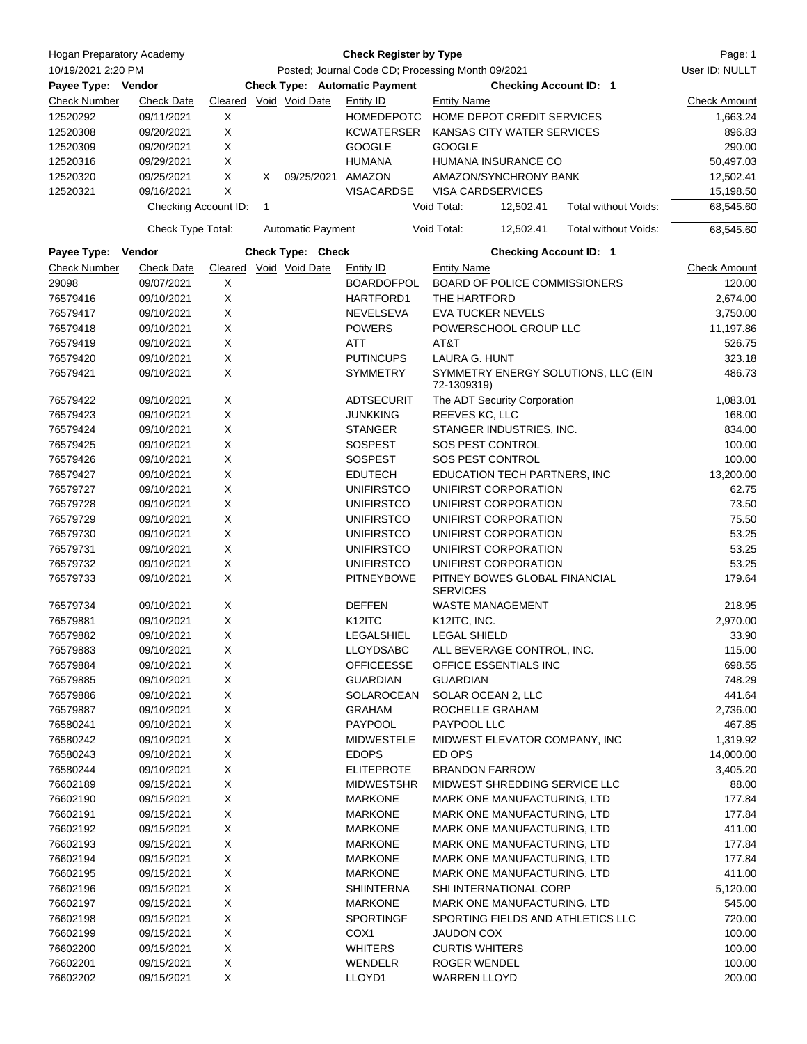| Hogan Preparatory Academy |                          | <b>Check Register by Type</b>                     |                                                           |                          |                                      |                                                    |                               | Page: 1                           |                     |
|---------------------------|--------------------------|---------------------------------------------------|-----------------------------------------------------------|--------------------------|--------------------------------------|----------------------------------------------------|-------------------------------|-----------------------------------|---------------------|
| 10/19/2021 2:20 PM        |                          | Posted; Journal Code CD; Processing Month 09/2021 |                                                           |                          |                                      |                                                    |                               | User ID: NULLT                    |                     |
| Payee Type: Vendor        |                          |                                                   |                                                           |                          | <b>Check Type: Automatic Payment</b> |                                                    | <b>Checking Account ID: 1</b> |                                   |                     |
| <b>Check Number</b>       | <b>Check Date</b>        |                                                   |                                                           | Cleared Void Void Date   | Entity ID                            | <b>Entity Name</b>                                 |                               |                                   | <b>Check Amount</b> |
| 12520292                  | 09/11/2021               | X                                                 |                                                           |                          | <b>HOMEDEPOTC</b>                    | HOME DEPOT CREDIT SERVICES                         |                               |                                   | 1,663.24            |
| 12520308                  | 09/20/2021               | X                                                 |                                                           |                          | <b>KCWATERSER</b>                    | KANSAS CITY WATER SERVICES                         |                               |                                   | 896.83              |
| 12520309                  | 09/20/2021               | X                                                 |                                                           |                          | <b>GOOGLE</b>                        | <b>GOOGLE</b>                                      |                               |                                   | 290.00              |
| 12520316                  | 09/29/2021               | X                                                 |                                                           |                          | <b>HUMANA</b>                        | HUMANA INSURANCE CO                                |                               |                                   | 50,497.03           |
| 12520320                  | 09/25/2021               | X                                                 | X.                                                        | 09/25/2021               | AMAZON                               | AMAZON/SYNCHRONY BANK                              |                               |                                   | 12,502.41           |
| 12520321                  | 09/16/2021               | X                                                 |                                                           |                          | <b>VISACARDSE</b>                    | <b>VISA CARDSERVICES</b>                           |                               |                                   | 15,198.50           |
|                           | Checking Account ID:     |                                                   | 1                                                         |                          |                                      | Void Total:                                        | 12,502.41                     | Total without Voids:              | 68,545.60           |
|                           | Check Type Total:        |                                                   |                                                           | <b>Automatic Payment</b> |                                      | Void Total:                                        | 12,502.41                     | Total without Voids:              | 68,545.60           |
| Payee Type:               | Vendor                   |                                                   |                                                           | Check Type: Check        |                                      |                                                    | <b>Checking Account ID: 1</b> |                                   |                     |
| <b>Check Number</b>       | <b>Check Date</b>        |                                                   |                                                           | Cleared Void Void Date   | Entity ID                            | <b>Entity Name</b>                                 |                               |                                   | <b>Check Amount</b> |
| 29098                     | 09/07/2021               | X                                                 |                                                           |                          | <b>BOARDOFPOL</b>                    | BOARD OF POLICE COMMISSIONERS                      |                               |                                   | 120.00              |
| 76579416                  | 09/10/2021               | X                                                 |                                                           |                          | HARTFORD1                            | THE HARTFORD                                       |                               |                                   | 2,674.00            |
| 76579417                  | 09/10/2021               | X                                                 |                                                           |                          | NEVELSEVA                            | <b>EVA TUCKER NEVELS</b>                           |                               |                                   | 3,750.00            |
| 76579418                  | 09/10/2021               | X                                                 |                                                           |                          | <b>POWERS</b>                        | POWERSCHOOL GROUP LLC                              |                               |                                   | 11,197.86           |
| 76579419                  | 09/10/2021               | X                                                 |                                                           |                          | ATT                                  | AT&T                                               |                               |                                   | 526.75              |
| 76579420                  | 09/10/2021               | X                                                 |                                                           |                          | <b>PUTINCUPS</b>                     | LAURA G. HUNT                                      |                               |                                   | 323.18              |
| 76579421                  | 09/10/2021               | X                                                 |                                                           |                          | <b>SYMMETRY</b>                      | SYMMETRY ENERGY SOLUTIONS, LLC (EIN<br>72-1309319) |                               |                                   | 486.73              |
| 76579422                  | 09/10/2021               | X                                                 |                                                           |                          | ADTSECURIT                           |                                                    | The ADT Security Corporation  |                                   | 1,083.01            |
| 76579423                  | 09/10/2021               | X                                                 |                                                           |                          | <b>JUNKKING</b>                      | REEVES KC, LLC                                     |                               |                                   | 168.00              |
| 76579424                  | 09/10/2021               | X                                                 |                                                           |                          | <b>STANGER</b>                       | STANGER INDUSTRIES, INC.                           |                               |                                   | 834.00              |
| 76579425                  | 09/10/2021               | X                                                 |                                                           |                          | <b>SOSPEST</b>                       | SOS PEST CONTROL                                   |                               |                                   | 100.00              |
| 76579426                  | 09/10/2021               | X                                                 |                                                           |                          | <b>SOSPEST</b>                       | SOS PEST CONTROL                                   |                               |                                   | 100.00              |
| 76579427                  | 09/10/2021               | X                                                 |                                                           |                          | <b>EDUTECH</b>                       | EDUCATION TECH PARTNERS, INC                       |                               |                                   | 13,200.00           |
| 76579727                  | 09/10/2021               | X                                                 |                                                           |                          | <b>UNIFIRSTCO</b>                    | UNIFIRST CORPORATION                               |                               |                                   | 62.75               |
| 76579728                  | 09/10/2021               |                                                   | X<br><b>UNIFIRSTCO</b>                                    |                          |                                      | UNIFIRST CORPORATION                               | 73.50                         |                                   |                     |
| 76579729                  | 09/10/2021               | X                                                 | <b>UNIFIRSTCO</b><br>UNIFIRST CORPORATION                 |                          |                                      | 75.50                                              |                               |                                   |                     |
| 76579730                  | 09/10/2021               |                                                   | X                                                         |                          | <b>UNIFIRSTCO</b>                    | UNIFIRST CORPORATION                               |                               |                                   | 53.25               |
| 76579731                  | 09/10/2021               |                                                   | X                                                         |                          | <b>UNIFIRSTCO</b>                    | UNIFIRST CORPORATION                               |                               |                                   | 53.25               |
| 76579732                  | 09/10/2021               | X                                                 |                                                           |                          | <b>UNIFIRSTCO</b>                    | UNIFIRST CORPORATION                               |                               | 53.25                             |                     |
| 76579733                  | 09/10/2021               | X                                                 |                                                           |                          | <b>PITNEYBOWE</b>                    | PITNEY BOWES GLOBAL FINANCIAL<br><b>SERVICES</b>   |                               | 179.64                            |                     |
| 76579734                  | 09/10/2021               | X                                                 |                                                           |                          | <b>DEFFEN</b>                        |                                                    | <b>WASTE MANAGEMENT</b>       |                                   | 218.95              |
| 76579881                  | 09/10/2021               | X                                                 |                                                           |                          | K <sub>12</sub> ITC                  | K12ITC, INC.                                       |                               |                                   | 2,970.00            |
| 76579882                  | 09/10/2021               |                                                   | $\mathsf X$<br>LEGALSHIEL                                 |                          |                                      | LEGAL SHIELD                                       |                               | 33.90                             |                     |
| 76579883                  | 09/10/2021               | X                                                 |                                                           |                          | <b>LLOYDSABC</b>                     | ALL BEVERAGE CONTROL, INC.                         |                               |                                   | 115.00              |
| 76579884                  | 09/10/2021               |                                                   | $\mathsf X$<br><b>OFFICEESSE</b><br>OFFICE ESSENTIALS INC |                          |                                      |                                                    | 698.55                        |                                   |                     |
| 76579885                  | 09/10/2021               |                                                   | $\mathsf X$                                               |                          | <b>GUARDIAN</b>                      | <b>GUARDIAN</b>                                    |                               |                                   | 748.29              |
| 76579886                  | 09/10/2021               | X                                                 |                                                           |                          | SOLAROCEAN                           | SOLAR OCEAN 2, LLC<br>ROCHELLE GRAHAM              |                               |                                   | 441.64              |
| 76579887                  | 09/10/2021               | X                                                 |                                                           |                          | <b>GRAHAM</b>                        |                                                    |                               |                                   | 2,736.00            |
| 76580241                  | 09/10/2021               | X                                                 |                                                           |                          | <b>PAYPOOL</b>                       | PAYPOOL LLC                                        |                               |                                   | 467.85              |
| 76580242                  | 09/10/2021               | $\mathsf X$                                       |                                                           |                          | <b>MIDWESTELE</b>                    |                                                    | MIDWEST ELEVATOR COMPANY, INC |                                   | 1,319.92            |
| 76580243                  | 09/10/2021               | X                                                 |                                                           |                          | <b>EDOPS</b>                         | ED OPS                                             |                               |                                   | 14,000.00           |
| 76580244                  | 09/10/2021               | X                                                 |                                                           |                          | <b>ELITEPROTE</b>                    | <b>BRANDON FARROW</b>                              |                               |                                   | 3,405.20            |
| 76602189                  | 09/15/2021               | $\mathsf X$                                       |                                                           |                          | <b>MIDWESTSHR</b>                    |                                                    | MIDWEST SHREDDING SERVICE LLC |                                   | 88.00               |
| 76602190                  | 09/15/2021               | X                                                 |                                                           |                          | <b>MARKONE</b>                       |                                                    | MARK ONE MANUFACTURING, LTD   |                                   | 177.84              |
| 76602191                  | 09/15/2021               | X                                                 |                                                           |                          | <b>MARKONE</b>                       |                                                    | MARK ONE MANUFACTURING, LTD   |                                   | 177.84              |
| 76602192                  | 09/15/2021               | X                                                 |                                                           |                          | <b>MARKONE</b>                       |                                                    | MARK ONE MANUFACTURING, LTD   |                                   | 411.00              |
| 76602193                  | 09/15/2021               | $\mathsf X$                                       |                                                           |                          | <b>MARKONE</b>                       |                                                    | MARK ONE MANUFACTURING, LTD   |                                   | 177.84              |
| 76602194                  | 09/15/2021               | $\mathsf X$                                       |                                                           |                          | MARKONE                              |                                                    | MARK ONE MANUFACTURING, LTD   |                                   | 177.84              |
| 76602195                  | 09/15/2021               | $\mathsf X$                                       |                                                           |                          | <b>MARKONE</b>                       |                                                    | MARK ONE MANUFACTURING, LTD   |                                   | 411.00              |
| 76602196                  | 09/15/2021               | $\mathsf X$                                       |                                                           |                          | <b>SHIINTERNA</b>                    |                                                    | SHI INTERNATIONAL CORP        |                                   | 5,120.00            |
| 76602197                  | 09/15/2021               | $\mathsf X$                                       |                                                           |                          | <b>MARKONE</b>                       |                                                    | MARK ONE MANUFACTURING, LTD   |                                   | 545.00              |
| 76602198                  | 09/15/2021               | X                                                 |                                                           |                          | <b>SPORTINGF</b>                     |                                                    |                               | SPORTING FIELDS AND ATHLETICS LLC | 720.00              |
| 76602199                  | 09/15/2021               | X                                                 |                                                           |                          | COX <sub>1</sub>                     | <b>JAUDON COX</b>                                  |                               |                                   | 100.00              |
| 76602200                  | 09/15/2021               | X                                                 |                                                           |                          | <b>WHITERS</b>                       | <b>CURTIS WHITERS</b>                              |                               |                                   | 100.00              |
| 76602201                  | 09/15/2021<br>09/15/2021 | $\mathsf X$<br>X                                  |                                                           |                          | <b>WENDELR</b><br>LLOYD1             | <b>ROGER WENDEL</b><br><b>WARREN LLOYD</b>         |                               |                                   | 100.00<br>200.00    |
| 76602202                  |                          |                                                   |                                                           |                          |                                      |                                                    |                               |                                   |                     |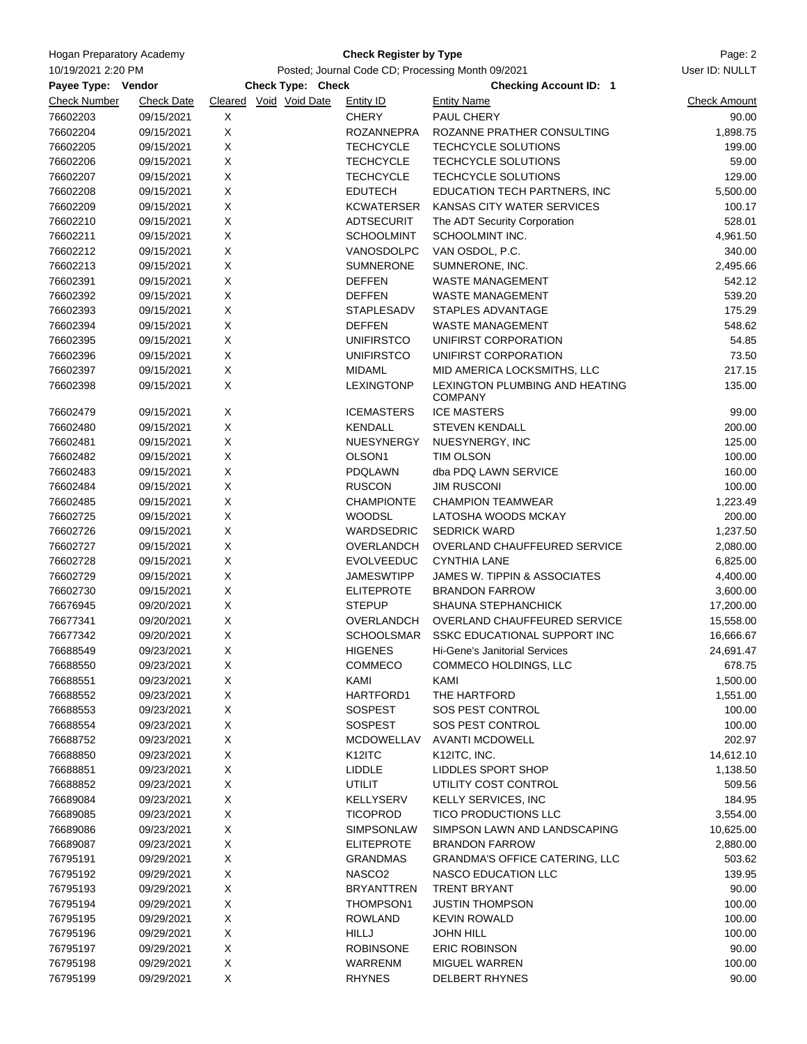| <b>Hogan Preparatory Academy</b><br>10/19/2021 2:20 PM<br>Payee Type: Vendor<br><b>Check Number</b><br><b>Check Date</b> |                          |                                                                        | Page: 2<br>User ID: NULLT          |                                                                                 |                              |
|--------------------------------------------------------------------------------------------------------------------------|--------------------------|------------------------------------------------------------------------|------------------------------------|---------------------------------------------------------------------------------|------------------------------|
|                                                                                                                          |                          | Posted; Journal Code CD; Processing Month 09/2021<br>Check Type: Check |                                    |                                                                                 |                              |
|                                                                                                                          |                          | Cleared Void Void Date                                                 |                                    | <b>Checking Account ID: 1</b><br><b>Entity Name</b>                             |                              |
| 76602203                                                                                                                 | 09/15/2021               | Χ                                                                      | <b>Entity ID</b><br><b>CHERY</b>   | PAUL CHERY                                                                      | <b>Check Amount</b><br>90.00 |
| 76602204                                                                                                                 | 09/15/2021               | X                                                                      | <b>ROZANNEPRA</b>                  | ROZANNE PRATHER CONSULTING                                                      | 1,898.75                     |
| 76602205                                                                                                                 | 09/15/2021               | X                                                                      | <b>TECHCYCLE</b>                   | TECHCYCLE SOLUTIONS                                                             | 199.00                       |
| 76602206                                                                                                                 | 09/15/2021               | X                                                                      | <b>TECHCYCLE</b>                   | TECHCYCLE SOLUTIONS                                                             | 59.00                        |
| 76602207                                                                                                                 | 09/15/2021               | X                                                                      | <b>TECHCYCLE</b>                   | TECHCYCLE SOLUTIONS                                                             | 129.00                       |
| 76602208                                                                                                                 | 09/15/2021               | X                                                                      | <b>EDUTECH</b>                     | EDUCATION TECH PARTNERS, INC                                                    | 5,500.00                     |
| 76602209                                                                                                                 | 09/15/2021               | Χ                                                                      | KCWATERSER                         | KANSAS CITY WATER SERVICES                                                      | 100.17                       |
|                                                                                                                          |                          |                                                                        | <b>ADTSECURIT</b>                  |                                                                                 |                              |
| 76602210<br>76602211                                                                                                     | 09/15/2021<br>09/15/2021 | X<br>X                                                                 | <b>SCHOOLMINT</b>                  | The ADT Security Corporation<br>SCHOOLMINT INC.                                 | 528.01<br>4,961.50           |
| 76602212                                                                                                                 | 09/15/2021               | X                                                                      | VANOSDOLPC                         | VAN OSDOL, P.C.                                                                 | 340.00                       |
| 76602213                                                                                                                 | 09/15/2021               | X                                                                      | <b>SUMNERONE</b>                   | SUMNERONE, INC.                                                                 | 2,495.66                     |
| 76602391                                                                                                                 | 09/15/2021               | X                                                                      | <b>DEFFEN</b>                      | WASTE MANAGEMENT                                                                | 542.12                       |
| 76602392                                                                                                                 | 09/15/2021               | X                                                                      | <b>DEFFEN</b>                      | WASTE MANAGEMENT                                                                | 539.20                       |
| 76602393                                                                                                                 | 09/15/2021               | X                                                                      | <b>STAPLESADV</b>                  | STAPLES ADVANTAGE                                                               | 175.29                       |
|                                                                                                                          |                          |                                                                        |                                    |                                                                                 |                              |
| 76602394                                                                                                                 | 09/15/2021               | X                                                                      | <b>DEFFEN</b>                      | <b>WASTE MANAGEMENT</b>                                                         | 548.62                       |
| 76602395                                                                                                                 | 09/15/2021               | Χ                                                                      | <b>UNIFIRSTCO</b>                  | UNIFIRST CORPORATION                                                            | 54.85                        |
| 76602396                                                                                                                 | 09/15/2021               | X                                                                      | <b>UNIFIRSTCO</b>                  | UNIFIRST CORPORATION                                                            | 73.50                        |
| 76602397<br>76602398                                                                                                     | 09/15/2021<br>09/15/2021 | X<br>X                                                                 | <b>MIDAML</b><br><b>LEXINGTONP</b> | MID AMERICA LOCKSMITHS, LLC<br>LEXINGTON PLUMBING AND HEATING<br><b>COMPANY</b> | 217.15<br>135.00             |
| 76602479                                                                                                                 | 09/15/2021               | X                                                                      | <b>ICEMASTERS</b>                  | <b>ICE MASTERS</b>                                                              | 99.00                        |
| 76602480                                                                                                                 | 09/15/2021               | X                                                                      | <b>KENDALL</b>                     | <b>STEVEN KENDALL</b>                                                           | 200.00                       |
| 76602481                                                                                                                 | 09/15/2021               | X                                                                      | NUESYNERGY                         | NUESYNERGY, INC                                                                 | 125.00                       |
| 76602482                                                                                                                 | 09/15/2021               | X                                                                      | OLSON <sub>1</sub>                 | TIM OLSON                                                                       | 100.00                       |
| 76602483                                                                                                                 | 09/15/2021               | X                                                                      | PDQLAWN                            | dba PDQ LAWN SERVICE                                                            | 160.00                       |
| 76602484                                                                                                                 | 09/15/2021               | X                                                                      | <b>RUSCON</b>                      | <b>JIM RUSCONI</b>                                                              | 100.00                       |
| 76602485                                                                                                                 | 09/15/2021               | X                                                                      | <b>CHAMPIONTE</b>                  | <b>CHAMPION TEAMWEAR</b>                                                        | 1,223.49                     |
| 76602725                                                                                                                 | 09/15/2021               | X                                                                      | <b>WOODSL</b>                      | LATOSHA WOODS MCKAY                                                             | 200.00                       |
| 76602726                                                                                                                 | 09/15/2021               | X                                                                      | <b>WARDSEDRIC</b>                  | <b>SEDRICK WARD</b>                                                             | 1,237.50                     |
| 76602727                                                                                                                 | 09/15/2021               | Χ                                                                      | OVERLANDCH                         | OVERLAND CHAUFFEURED SERVICE                                                    | 2,080.00                     |
| 76602728                                                                                                                 | 09/15/2021               | X                                                                      | <b>EVOLVEEDUC</b>                  | <b>CYNTHIA LANE</b>                                                             | 6,825.00                     |
| 76602729                                                                                                                 | 09/15/2021               | X                                                                      | <b>JAMESWTIPP</b>                  | JAMES W. TIPPIN & ASSOCIATES                                                    | 4,400.00                     |
| 76602730                                                                                                                 | 09/15/2021               | X                                                                      | <b>ELITEPROTE</b>                  | <b>BRANDON FARROW</b>                                                           | 3,600.00                     |
| 76676945                                                                                                                 | 09/20/2021               | X                                                                      | <b>STEPUP</b>                      | <b>SHAUNA STEPHANCHICK</b>                                                      | 17,200.00                    |
| 76677341                                                                                                                 | 09/20/2021               | X                                                                      | OVERLANDCH                         | OVERLAND CHAUFFEURED SERVICE                                                    | 15,558.00                    |
| 76677342                                                                                                                 | 09/20/2021               | X                                                                      | SCHOOLSMAR                         | SSKC EDUCATIONAL SUPPORT INC                                                    | 16,666.67                    |
| 76688549                                                                                                                 | 09/23/2021               | Х                                                                      | <b>HIGENES</b>                     | Hi-Gene's Janitorial Services                                                   | 24,691.47                    |
| 76688550                                                                                                                 | 09/23/2021               | X                                                                      | COMMECO                            | COMMECO HOLDINGS, LLC                                                           | 678.75                       |
| 76688551                                                                                                                 | 09/23/2021               | X                                                                      | KAMI                               | KAMI                                                                            | 1,500.00                     |
| 76688552                                                                                                                 | 09/23/2021               | X                                                                      | HARTFORD1                          | THE HARTFORD                                                                    | 1,551.00                     |
| 76688553                                                                                                                 | 09/23/2021               | X                                                                      | <b>SOSPEST</b>                     | SOS PEST CONTROL                                                                | 100.00                       |
| 76688554                                                                                                                 | 09/23/2021               | X                                                                      | <b>SOSPEST</b>                     | SOS PEST CONTROL                                                                | 100.00                       |
| 76688752                                                                                                                 | 09/23/2021               | X                                                                      | <b>MCDOWELLAV</b>                  | <b>AVANTI MCDOWELL</b>                                                          | 202.97                       |
| 76688850                                                                                                                 | 09/23/2021               | X                                                                      | K12ITC                             | K12ITC, INC.                                                                    | 14,612.10                    |
| 76688851                                                                                                                 |                          | X                                                                      | LIDDLE                             | LIDDLES SPORT SHOP                                                              | 1,138.50                     |
|                                                                                                                          | 09/23/2021<br>09/23/2021 | X                                                                      | <b>UTILIT</b>                      | UTILITY COST CONTROL                                                            |                              |
| 76688852<br>76689084                                                                                                     |                          | X                                                                      |                                    | <b>KELLY SERVICES, INC</b>                                                      | 509.56<br>184.95             |
|                                                                                                                          | 09/23/2021<br>09/23/2021 | X                                                                      | KELLYSERV<br><b>TICOPROD</b>       | TICO PRODUCTIONS LLC                                                            | 3,554.00                     |
| 76689085                                                                                                                 |                          |                                                                        |                                    |                                                                                 |                              |
| 76689086                                                                                                                 | 09/23/2021               | X                                                                      | SIMPSONLAW                         | SIMPSON LAWN AND LANDSCAPING                                                    | 10,625.00                    |
| 76689087                                                                                                                 | 09/23/2021               | X                                                                      | <b>ELITEPROTE</b>                  | <b>BRANDON FARROW</b>                                                           | 2,880.00                     |
| 76795191                                                                                                                 | 09/29/2021               | X                                                                      | <b>GRANDMAS</b>                    | <b>GRANDMA'S OFFICE CATERING, LLC</b>                                           | 503.62                       |
| 76795192                                                                                                                 | 09/29/2021               | X                                                                      | NASCO <sub>2</sub>                 | NASCO EDUCATION LLC                                                             | 139.95                       |
| 76795193                                                                                                                 | 09/29/2021               | X                                                                      | <b>BRYANTTREN</b>                  | <b>TRENT BRYANT</b>                                                             | 90.00                        |
| 76795194                                                                                                                 | 09/29/2021               | X                                                                      | THOMPSON1                          | <b>JUSTIN THOMPSON</b>                                                          | 100.00                       |
| 76795195                                                                                                                 | 09/29/2021               | X                                                                      | <b>ROWLAND</b>                     | <b>KEVIN ROWALD</b>                                                             | 100.00                       |
| 76795196                                                                                                                 | 09/29/2021               | X                                                                      | HILLJ                              | <b>JOHN HILL</b>                                                                | 100.00                       |
| 76795197                                                                                                                 | 09/29/2021               | X                                                                      | <b>ROBINSONE</b>                   | <b>ERIC ROBINSON</b>                                                            | 90.00                        |
| 76795198                                                                                                                 | 09/29/2021               | X                                                                      | WARRENM                            | MIGUEL WARREN                                                                   | 100.00                       |
| 76795199                                                                                                                 | 09/29/2021               | X                                                                      | <b>RHYNES</b>                      | DELBERT RHYNES                                                                  | 90.00                        |